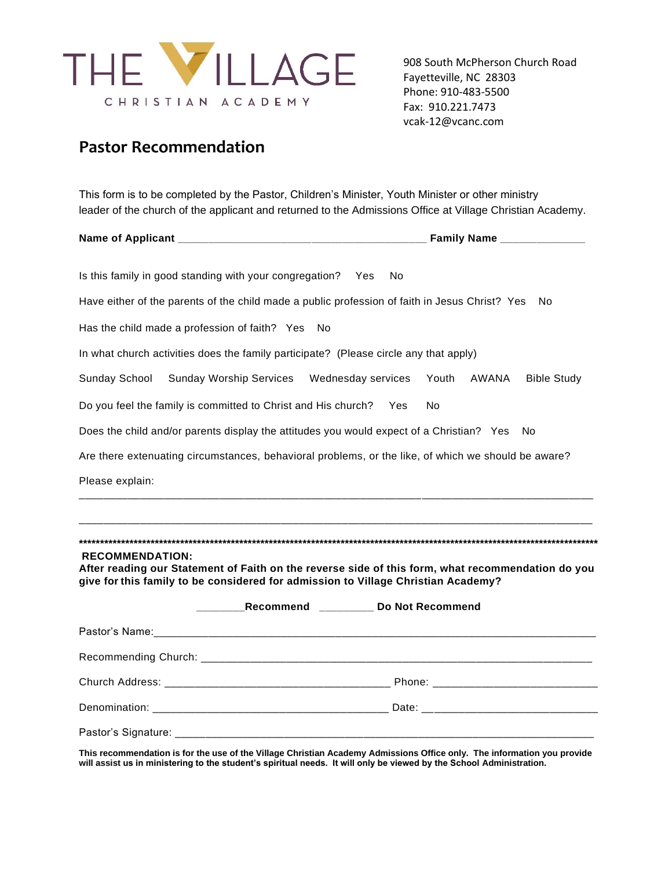

908 South McPherson Church Road Fayetteville, NC 28303 Phone: 910-483-5500 Fax: 910.221.7473 vcak-12@vcanc.com

### **Pastor Recommendation**

This form is to be completed by the Pastor, Children's Minister, Youth Minister or other ministry leader of the church of the applicant and returned to the Admissions Office at Village Christian Academy.

|                                                                                                                                                                                                                  | Family Name ________________         |
|------------------------------------------------------------------------------------------------------------------------------------------------------------------------------------------------------------------|--------------------------------------|
| Is this family in good standing with your congregation? Yes<br>No.                                                                                                                                               |                                      |
| Have either of the parents of the child made a public profession of faith in Jesus Christ? Yes                                                                                                                   | No                                   |
| Has the child made a profession of faith? Yes<br>No                                                                                                                                                              |                                      |
| In what church activities does the family participate? (Please circle any that apply)                                                                                                                            |                                      |
| Sunday School<br>Sunday Worship Services  Wednesday services                                                                                                                                                     | Youth<br>AWANA<br><b>Bible Study</b> |
| Do you feel the family is committed to Christ and His church?<br>Yes                                                                                                                                             | No                                   |
| Does the child and/or parents display the attitudes you would expect of a Christian? Yes                                                                                                                         | No                                   |
| Are there extenuating circumstances, behavioral problems, or the like, of which we should be aware?                                                                                                              |                                      |
| Please explain:                                                                                                                                                                                                  |                                      |
| <u> 1999 - Jan Lander, mars and de finland and de finland and description of the second and description of the second</u>                                                                                        |                                      |
|                                                                                                                                                                                                                  |                                      |
| <b>RECOMMENDATION:</b><br>After reading our Statement of Faith on the reverse side of this form, what recommendation do you<br>give for this family to be considered for admission to Village Christian Academy? |                                      |
| Recommend ________ Do Not Recommend                                                                                                                                                                              |                                      |
|                                                                                                                                                                                                                  |                                      |
|                                                                                                                                                                                                                  |                                      |
|                                                                                                                                                                                                                  |                                      |
|                                                                                                                                                                                                                  |                                      |
|                                                                                                                                                                                                                  |                                      |

**This recommendation is for the use of the Village Christian Academy Admissions Office only. The information you provide will assist us in ministering to the student's spiritual needs. It will only be viewed by the School Administration.**